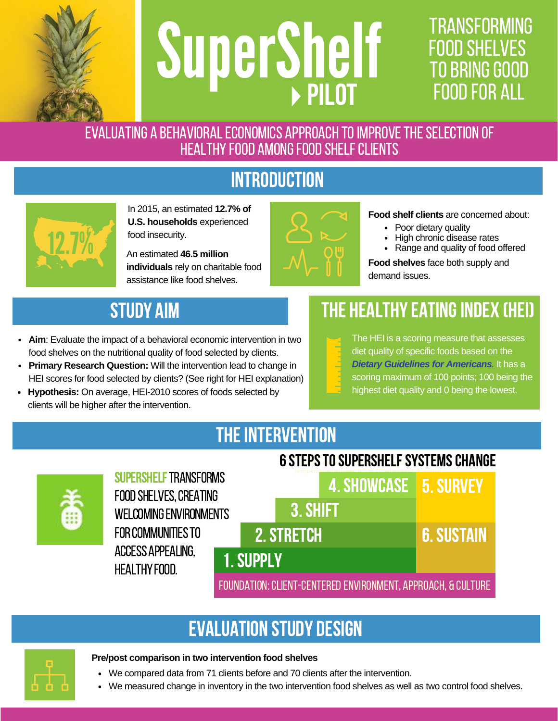

# **SuperShelf**

# **TRANSFORMING FOOD SHELVES TO BRING GOOD PILOT** FOOD FOR ALL

EVALUATING A BEHAVIORAL ECONOMICS APPROACH TO IMPROVE THE SELECTION OF HEALTHY FOOD AMONG FOOD SHELF CLIENTS

# **INTRODUCTION**



In 2015, an estimated **12.7% of U.S. households** experienced food insecurity.

**individuals** rely on charitable food assistance like food shelves.



### **Food shelf clients** are concerned about:

- Poor dietary quality
- High chronic disease rates
- An estimated **46.5 million** An estimated **46.5 million**

**Food shelves** face both supply and demand issues.

# STUDY AIM

- **Aim**: Evaluate the impact of a behavioral economic intervention in two food shelves on the nutritional quality of food selected by clients.
- **Primary Research Question:** Will the intervention lead to change in HEI scores for food selected by clients? (See right for HEI [explanation\)](https://www.cnpp.usda.gov/healthyeatingindex)
- **Hypothesis:** On average, HEI-2010 scores of foods selected by clients will be higher after the intervention.

# THE HEALTHY EATING INDEX (HEI)

The HEI is a scoring measure that assesses diet quality of specific foods based on the *Dietary Guidelines for [Americans](https://health.gov/dietaryguidelines/2015/).* It has a scoring maximum of 100 points; 100 being the highest diet quality and 0 being the lowest.

# THE INTERVENTION



SUPERSHELF TRANSFORMS FOOD SHELVES, CREATING WELCOMING ENVIRONMENTS **FOR COMMUNITIES TO** accessappealing, **HEALTHY FOOD.** 



## Evaluation STUDY DESIGN



- **Pre/post comparison in two intervention food shelves**
	- We compared data from 71 clients before and 70 clients after the intervention.
	- We measured change in inventory in the two intervention food shelves as well as two control food shelves.